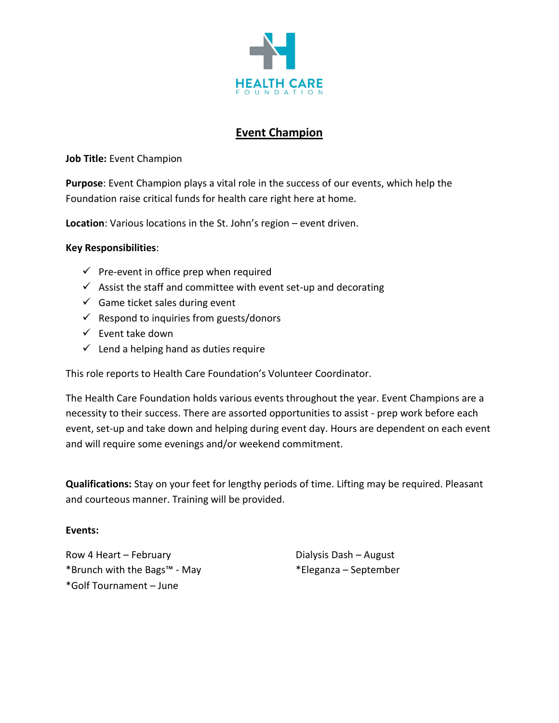

## **Event Champion**

**Job Title:** Event Champion

**Purpose**: Event Champion plays a vital role in the success of our events, which help the Foundation raise critical funds for health care right here at home.

**Location**: Various locations in the St. John's region – event driven.

## **Key Responsibilities**:

- $\checkmark$  Pre-event in office prep when required
- $\checkmark$  Assist the staff and committee with event set-up and decorating
- $\checkmark$  Game ticket sales during event
- $\checkmark$  Respond to inquiries from guests/donors
- $\checkmark$  Event take down
- $\checkmark$  Lend a helping hand as duties require

This role reports to Health Care Foundation's Volunteer Coordinator.

The Health Care Foundation holds various events throughout the year. Event Champions are a necessity to their success. There are assorted opportunities to assist - prep work before each event, set-up and take down and helping during event day. Hours are dependent on each event and will require some evenings and/or weekend commitment.

**Qualifications:** Stay on your feet for lengthy periods of time. Lifting may be required. Pleasant and courteous manner. Training will be provided.

## **Events:**

Row 4 Heart – February \*Brunch with the Bags™ - May \*Golf Tournament – June

Dialysis Dash – August \*Eleganza – September